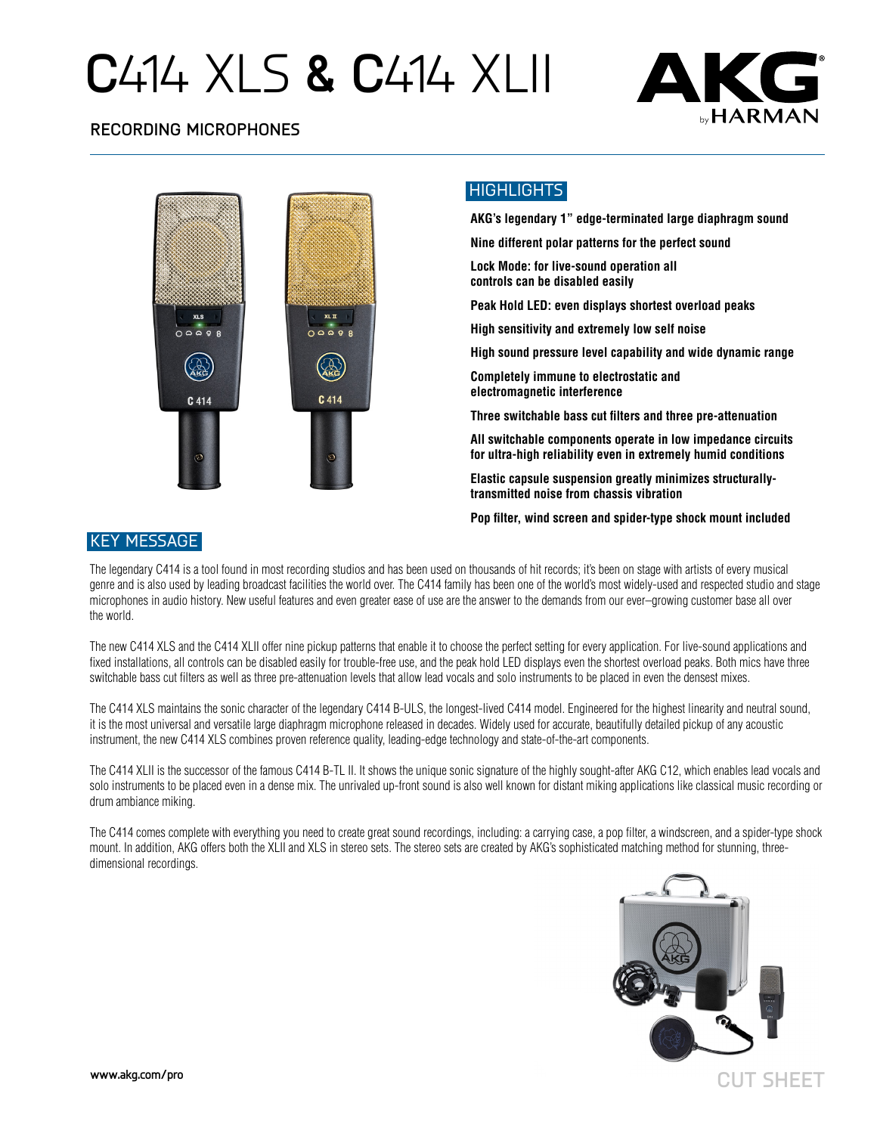# **C**414 XLS **& C**414 XLII



### **RECORDING MICROPHONES**



### HIGHLIGHTS

**AKG's legendary 1" edge-terminated large diaphragm sound Nine different polar patterns for the perfect sound Lock Mode: for live-sound operation all controls can be disabled easily Peak Hold LED: even displays shortest overload peaks High sensitivity and extremely low self noise High sound pressure level capability and wide dynamic range Completely immune to electrostatic and electromagnetic interference**

**Three switchable bass cut filters and three pre-attenuation**

**All switchable components operate in low impedance circuits for ultra-high reliability even in extremely humid conditions**

**Elastic capsule suspension greatly minimizes structurallytransmitted noise from chassis vibration**

**Pop filter, wind screen and spider-type shock mount included**

### KEY MESSAGE

The legendary C414 is a tool found in most recording studios and has been used on thousands of hit records; it's been on stage with artists of every musical genre and is also used by leading broadcast facilities the world over. The C414 family has been one of the world's most widely-used and respected studio and stage microphones in audio history. New useful features and even greater ease of use are the answer to the demands from our ever–growing customer base all over the world.

The new C414 XLS and the C414 XLII offer nine pickup patterns that enable it to choose the perfect setting for every application. For live-sound applications and fixed installations, all controls can be disabled easily for trouble-free use, and the peak hold LED displays even the shortest overload peaks. Both mics have three switchable bass cut filters as well as three pre-attenuation levels that allow lead vocals and solo instruments to be placed in even the densest mixes.

The C414 XLS maintains the sonic character of the legendary C414 B-ULS, the longest-lived C414 model. Engineered for the highest linearity and neutral sound, it is the most universal and versatile large diaphragm microphone released in decades. Widely used for accurate, beautifully detailed pickup of any acoustic instrument, the new C414 XLS combines proven reference quality, leading-edge technology and state-of-the-art components.

The C414 XLII is the successor of the famous C414 B-TL II. It shows the unique sonic signature of the highly sought-after AKG C12, which enables lead vocals and solo instruments to be placed even in a dense mix. The unrivaled up-front sound is also well known for distant miking applications like classical music recording or drum ambiance miking.

The C414 comes complete with everything you need to create great sound recordings, including: a carrying case, a pop filter, a windscreen, and a spider-type shock mount. In addition, AKG offers both the XLII and XLS in stereo sets. The stereo sets are created by AKG's sophisticated matching method for stunning, threedimensional recordings.